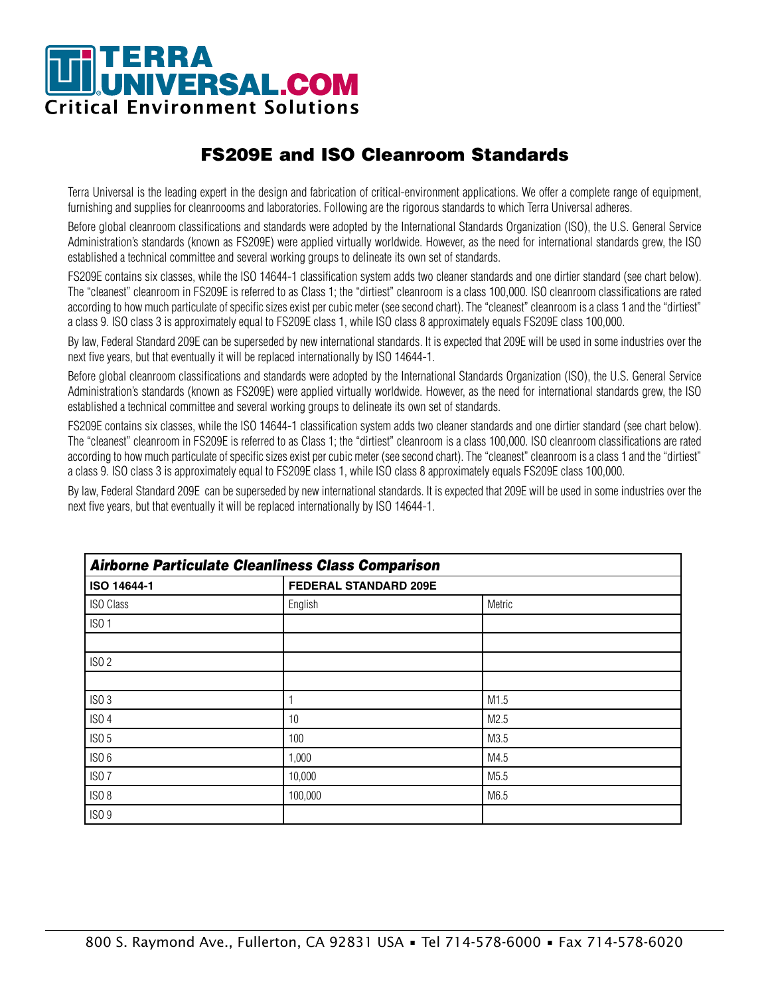# TERRA<br>JUNIVERSAL.COM **Critical Environment Solutions**

## FS209E and ISO Cleanroom Standards

Terra Universal is the leading expert in the design and fabrication of critical-environment applications. We offer a complete range of equipment, furnishing and supplies for cleanroooms and laboratories. Following are the rigorous standards to which Terra Universal adheres.

Before global cleanroom classifications and standards were adopted by the International Standards Organization (ISO), the U.S. General Service Administration's standards (known as FS209E) were applied virtually worldwide. However, as the need for international standards grew, the ISO established a technical committee and several working groups to delineate its own set of standards.

FS209E contains six classes, while the ISO 14644-1 classification system adds two cleaner standards and one dirtier standard (see chart below). The "cleanest" cleanroom in FS209E is referred to as Class 1; the "dirtiest" cleanroom is a class 100,000. ISO cleanroom classifications are rated according to how much particulate of specific sizes exist per cubic meter (see second chart). The "cleanest" cleanroom is a class 1 and the "dirtiest" a class 9. ISO class 3 is approximately equal to FS209E class 1, while ISO class 8 approximately equals FS209E class 100,000.

By law, Federal Standard 209E can be superseded by new international standards. It is expected that 209E will be used in some industries over the next five years, but that eventually it will be replaced internationally by ISO 14644-1.

Before global cleanroom classifications and standards were adopted by the International Standards Organization (ISO), the U.S. General Service Administration's standards (known as FS209E) were applied virtually worldwide. However, as the need for international standards grew, the ISO established a technical committee and several working groups to delineate its own set of standards.

FS209E contains six classes, while the ISO 14644-1 classification system adds two cleaner standards and one dirtier standard (see chart below). The "cleanest" cleanroom in FS209E is referred to as Class 1; the "dirtiest" cleanroom is a class 100,000. ISO cleanroom classifications are rated according to how much particulate of specific sizes exist per cubic meter (see second chart). The "cleanest" cleanroom is a class 1 and the "dirtiest" a class 9. ISO class 3 is approximately equal to FS209E class 1, while ISO class 8 approximately equals FS209E class 100,000.

By law, Federal Standard 209E can be superseded by new international standards. It is expected that 209E will be used in some industries over the next five years, but that eventually it will be replaced internationally by ISO 14644-1.

| <b>Airborne Particulate Cleanliness Class Comparison</b> |                       |        |  |
|----------------------------------------------------------|-----------------------|--------|--|
| ISO 14644-1                                              | FEDERAL STANDARD 209E |        |  |
| <b>ISO Class</b>                                         | English               | Metric |  |
| ISO 1                                                    |                       |        |  |
|                                                          |                       |        |  |
| ISO <sub>2</sub>                                         |                       |        |  |
|                                                          |                       |        |  |
| ISO <sub>3</sub>                                         |                       | M1.5   |  |
| <b>ISO 4</b>                                             | 10                    | M2.5   |  |
| ISO <sub>5</sub>                                         | 100                   | M3.5   |  |
| ISO <sub>6</sub>                                         | 1,000                 | M4.5   |  |
| ISO <sub>7</sub>                                         | 10,000                | M5.5   |  |
| ISO <sub>8</sub>                                         | 100,000               | M6.5   |  |
| <b>ISO 9</b>                                             |                       |        |  |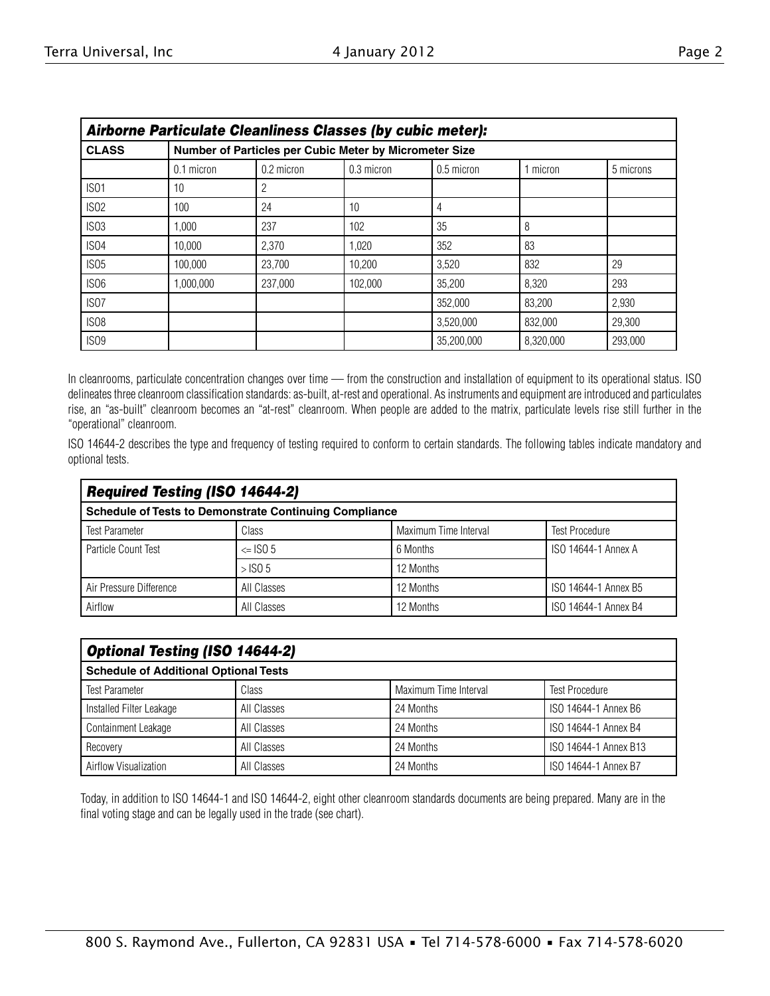|--|--|

| Airborne Particulate Cleanliness Classes (by cubic meter): |              |                                                        |              |              |           |           |
|------------------------------------------------------------|--------------|--------------------------------------------------------|--------------|--------------|-----------|-----------|
| <b>CLASS</b>                                               |              | Number of Particles per Cubic Meter by Micrometer Size |              |              |           |           |
|                                                            | $0.1$ micron | 0.2 micron                                             | $0.3$ micron | $0.5$ micron | micron    | 5 microns |
| IS <sub>01</sub>                                           | 10           | 2                                                      |              |              |           |           |
| IS <sub>02</sub>                                           | 100          | 24                                                     | 10           |              |           |           |
| ISO <sub>3</sub>                                           | 1.000        | 237                                                    | 102          | 35           | 8         |           |
| IS <sub>04</sub>                                           | 10.000       | 2,370                                                  | 1,020        | 352          | 83        |           |
| IS <sub>05</sub>                                           | 100.000      | 23,700                                                 | 10.200       | 3,520        | 832       | 29        |
| ISO <sub>6</sub>                                           | 1,000,000    | 237,000                                                | 102.000      | 35,200       | 8,320     | 293       |
| IS <sub>07</sub>                                           |              |                                                        |              | 352.000      | 83.200    | 2,930     |
| ISO <sub>8</sub>                                           |              |                                                        |              | 3.520.000    | 832.000   | 29,300    |
| ISO <sub>9</sub>                                           |              |                                                        |              | 35,200,000   | 8,320,000 | 293.000   |

In cleanrooms, particulate concentration changes over time — from the construction and installation of equipment to its operational status. ISO delineates three cleanroom classification standards: as-built, at-rest and operational. As instruments and equipment are introduced and particulates rise, an "as-built" cleanroom becomes an "at-rest" cleanroom. When people are added to the matrix, particulate levels rise still further in the "operational" cleanroom.

ISO 14644-2 describes the type and frequency of testing required to conform to certain standards. The following tables indicate mandatory and optional tests.

| <b>Required Testing (ISO 14644-2)</b>                         |             |                       |                       |  |
|---------------------------------------------------------------|-------------|-----------------------|-----------------------|--|
| <b>Schedule of Tests to Demonstrate Continuing Compliance</b> |             |                       |                       |  |
| <b>Test Parameter</b>                                         | Class       | Maximum Time Interval | <b>Test Procedure</b> |  |
| Particle Count Test                                           | $\le$ ISO 5 | 6 Months              | ISO 14644-1 Annex A   |  |
|                                                               | $>$ ISO 5   | 12 Months             |                       |  |
| Air Pressure Difference                                       | All Classes | 12 Months             | ISO 14644-1 Annex B5  |  |
| Airflow                                                       | All Classes | 12 Months             | ISO 14644-1 Annex B4  |  |

| <b>Optional Testing (ISO 14644-2)</b>        |             |                       |                       |
|----------------------------------------------|-------------|-----------------------|-----------------------|
| <b>Schedule of Additional Optional Tests</b> |             |                       |                       |
| <b>Test Parameter</b>                        | Class       | Maximum Time Interval | <b>Test Procedure</b> |
| Installed Filter Leakage                     | All Classes | 24 Months             | ISO 14644-1 Annex B6  |
| <b>Containment Leakage</b>                   | All Classes | 24 Months             | ISO 14644-1 Annex B4  |
| Recovery                                     | All Classes | 24 Months             | ISO 14644-1 Annex B13 |
| Airflow Visualization                        | All Classes | 24 Months             | ISO 14644-1 Annex B7  |

Today, in addition to ISO 14644-1 and ISO 14644-2, eight other cleanroom standards documents are being prepared. Many are in the final voting stage and can be legally used in the trade (see chart).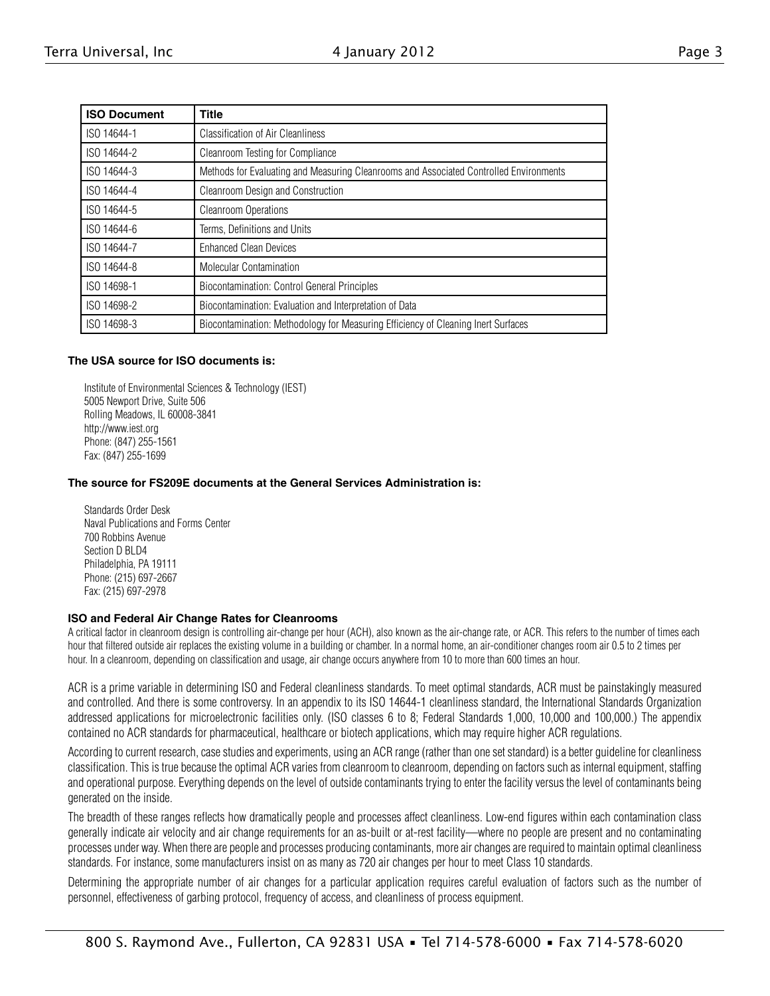|--|--|

| <b>ISO Document</b> | <b>Title</b>                                                                           |
|---------------------|----------------------------------------------------------------------------------------|
| ISO 14644-1         | <b>Classification of Air Cleanliness</b>                                               |
| ISO 14644-2         | Cleanroom Testing for Compliance                                                       |
| ISO 14644-3         | Methods for Evaluating and Measuring Cleanrooms and Associated Controlled Environments |
| ISO 14644-4         | Cleanroom Design and Construction                                                      |
| ISO 14644-5         | <b>Cleanroom Operations</b>                                                            |
| ISO 14644-6         | Terms, Definitions and Units                                                           |
| ISO 14644-7         | <b>Enhanced Clean Devices</b>                                                          |
| ISO 14644-8         | <b>Molecular Contamination</b>                                                         |
| ISO 14698-1         | <b>Biocontamination: Control General Principles</b>                                    |
| ISO 14698-2         | Biocontamination: Evaluation and Interpretation of Data                                |
| ISO 14698-3         | Biocontamination: Methodology for Measuring Efficiency of Cleaning Inert Surfaces      |

#### **The USA source for ISO documents is:**

Institute of Environmental Sciences & Technology (IEST) 5005 Newport Drive, Suite 506 Rolling Meadows, IL 60008-3841 http://www.iest.org Phone: (847) 255-1561 Fax: (847) 255-1699

#### **The source for FS209E documents at the General Services Administration is:**

Standards Order Desk Naval Publications and Forms Center 700 Robbins Avenue Section D BLD4 Philadelphia, PA 19111 Phone: (215) 697-2667 Fax: (215) 697-2978

#### **ISO and Federal Air Change Rates for Cleanrooms**

A critical factor in cleanroom design is controlling air-change per hour (ACH), also known as the air-change rate, or ACR. This refers to the number of times each hour that filtered outside air replaces the existing volume in a building or chamber. In a normal home, an air-conditioner changes room air 0.5 to 2 times per hour. In a cleanroom, depending on classification and usage, air change occurs anywhere from 10 to more than 600 times an hour.

ACR is a prime variable in determining ISO and Federal cleanliness standards. To meet optimal standards, ACR must be painstakingly measured and controlled. And there is some controversy. In an appendix to its ISO 14644-1 cleanliness standard, the International Standards Organization addressed applications for microelectronic facilities only. (ISO classes 6 to 8; Federal Standards 1,000, 10,000 and 100,000.) The appendix contained no ACR standards for pharmaceutical, healthcare or biotech applications, which may require higher ACR regulations.

According to current research, case studies and experiments, using an ACR range (rather than one set standard) is a better guideline for cleanliness classification. This is true because the optimal ACR varies from cleanroom to cleanroom, depending on factors such as internal equipment, staffing and operational purpose. Everything depends on the level of outside contaminants trying to enter the facility versus the level of contaminants being generated on the inside.

The breadth of these ranges reflects how dramatically people and processes affect cleanliness. Low-end figures within each contamination class generally indicate air velocity and air change requirements for an as-built or at-rest facility—where no people are present and no contaminating processes under way. When there are people and processes producing contaminants, more air changes are required to maintain optimal cleanliness standards. For instance, some manufacturers insist on as many as 720 air changes per hour to meet Class 10 standards.

Determining the appropriate number of air changes for a particular application requires careful evaluation of factors such as the number of personnel, effectiveness of garbing protocol, frequency of access, and cleanliness of process equipment.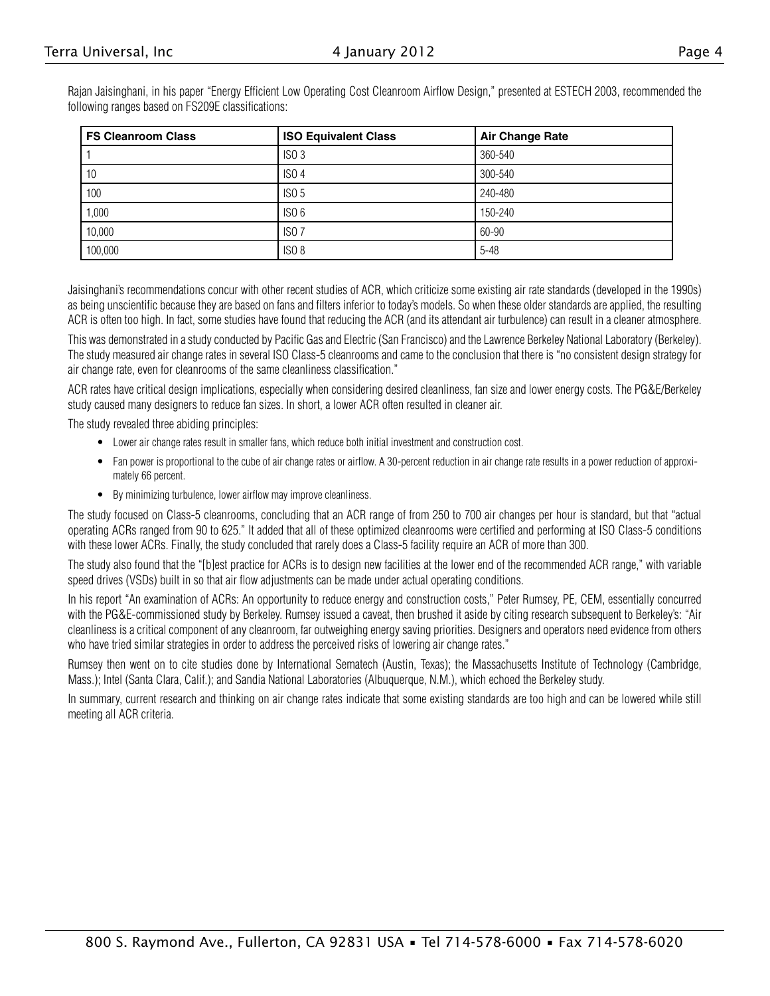Rajan Jaisinghani, in his paper "Energy Efficient Low Operating Cost Cleanroom Airflow Design," presented at ESTECH 2003, recommended the following ranges based on FS209E classifications:

| <b>FS Cleanroom Class</b> | <b>ISO Equivalent Class</b> | <b>Air Change Rate</b> |
|---------------------------|-----------------------------|------------------------|
|                           | ISO <sub>3</sub>            | 360-540                |
| 10                        | ISO <sub>4</sub>            | 300-540                |
| 100                       | <b>ISO 5</b>                | 240-480                |
| 000,                      | ISO <sub>6</sub>            | 150-240                |
| 10,000                    | ISO <sub>7</sub>            | 60-90                  |
| 100,000                   | ISO <sub>8</sub>            | $5 - 48$               |

Jaisinghani's recommendations concur with other recent studies of ACR, which criticize some existing air rate standards (developed in the 1990s) as being unscientific because they are based on fans and filters inferior to today's models. So when these older standards are applied, the resulting ACR is often too high. In fact, some studies have found that reducing the ACR (and its attendant air turbulence) can result in a cleaner atmosphere.

This was demonstrated in a study conducted by Pacific Gas and Electric (San Francisco) and the Lawrence Berkeley National Laboratory (Berkeley). The study measured air change rates in several ISO Class-5 cleanrooms and came to the conclusion that there is "no consistent design strategy for air change rate, even for cleanrooms of the same cleanliness classification."

ACR rates have critical design implications, especially when considering desired cleanliness, fan size and lower energy costs. The PG&E/Berkeley study caused many designers to reduce fan sizes. In short, a lower ACR often resulted in cleaner air.

The study revealed three abiding principles:

- Lower air change rates result in smaller fans, which reduce both initial investment and construction cost.
- Fan power is proportional to the cube of air change rates or airflow. A 30-percent reduction in air change rate results in a power reduction of approximately 66 percent.
- By minimizing turbulence, lower airflow may improve cleanliness.

The study focused on Class-5 cleanrooms, concluding that an ACR range of from 250 to 700 air changes per hour is standard, but that "actual operating ACRs ranged from 90 to 625." It added that all of these optimized cleanrooms were certified and performing at ISO Class-5 conditions with these lower ACRs. Finally, the study concluded that rarely does a Class-5 facility require an ACR of more than 300.

The study also found that the "[b]est practice for ACRs is to design new facilities at the lower end of the recommended ACR range," with variable speed drives (VSDs) built in so that air flow adjustments can be made under actual operating conditions.

In his report "An examination of ACRs: An opportunity to reduce energy and construction costs," Peter Rumsey, PE, CEM, essentially concurred with the PG&E-commissioned study by Berkeley. Rumsey issued a caveat, then brushed it aside by citing research subsequent to Berkeley's: "Air cleanliness is a critical component of any cleanroom, far outweighing energy saving priorities. Designers and operators need evidence from others who have tried similar strategies in order to address the perceived risks of lowering air change rates."

Rumsey then went on to cite studies done by International Sematech (Austin, Texas); the Massachusetts Institute of Technology (Cambridge, Mass.); Intel (Santa Clara, Calif.); and Sandia National Laboratories (Albuquerque, N.M.), which echoed the Berkeley study.

In summary, current research and thinking on air change rates indicate that some existing standards are too high and can be lowered while still meeting all ACR criteria.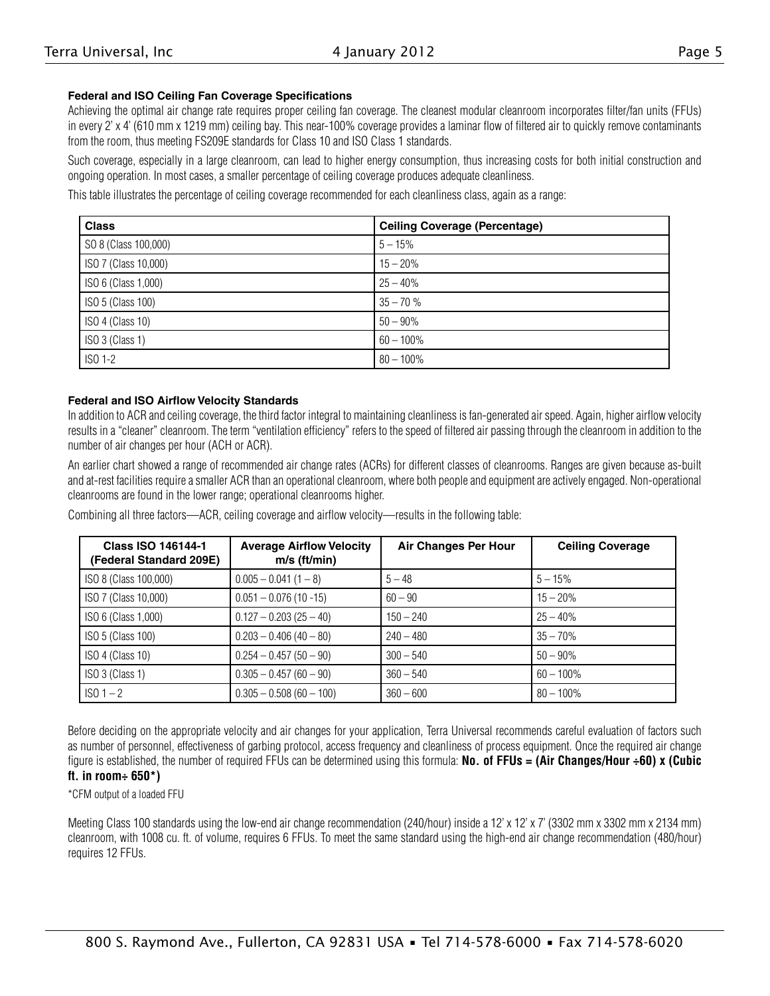#### **Federal and ISO Ceiling Fan Coverage Specifications**

Achieving the optimal air change rate requires proper ceiling fan coverage. The cleanest modular cleanroom incorporates filter/fan units (FFUs) in every 2' x 4' (610 mm x 1219 mm) ceiling bay. This near-100% coverage provides a laminar flow of filtered air to quickly remove contaminants from the room, thus meeting FS209E standards for Class 10 and ISO Class 1 standards.

Such coverage, especially in a large cleanroom, can lead to higher energy consumption, thus increasing costs for both initial construction and ongoing operation. In most cases, a smaller percentage of ceiling coverage produces adequate cleanliness.

This table illustrates the percentage of ceiling coverage recommended for each cleanliness class, again as a range:

| <b>Class</b>         | <b>Ceiling Coverage (Percentage)</b> |
|----------------------|--------------------------------------|
| SO 8 (Class 100,000) | $5 - 15%$                            |
| ISO 7 (Class 10,000) | $15 - 20%$                           |
| ISO 6 (Class 1,000)  | $25 - 40%$                           |
| ISO 5 (Class 100)    | $35 - 70%$                           |
| ISO 4 (Class 10)     | $50 - 90\%$                          |
| ISO 3 (Class 1)      | $60 - 100\%$                         |
| ISO 1-2              | $80 - 100\%$                         |

#### **Federal and ISO Airflow Velocity Standards**

In addition to ACR and ceiling coverage, the third factor integral to maintaining cleanliness is fan-generated air speed. Again, higher airflow velocity results in a "cleaner" cleanroom. The term "ventilation efficiency" refers to the speed of filtered air passing through the cleanroom in addition to the number of air changes per hour (ACH or ACR).

An earlier chart showed a range of recommended air change rates (ACRs) for different classes of cleanrooms. Ranges are given because as-built and at-rest facilities require a smaller ACR than an operational cleanroom, where both people and equipment are actively engaged. Non-operational cleanrooms are found in the lower range; operational cleanrooms higher.

Combining all three factors—ACR, ceiling coverage and airflow velocity—results in the following table:

| <b>Class ISO 146144-1</b><br>(Federal Standard 209E) | <b>Average Airflow Velocity</b><br>m/s (ft/min) | <b>Air Changes Per Hour</b> | <b>Ceiling Coverage</b> |
|------------------------------------------------------|-------------------------------------------------|-----------------------------|-------------------------|
| ISO 8 (Class 100,000)                                | $0.005 - 0.041(1 - 8)$                          | $5 - 48$                    | $5 - 15%$               |
| ISO 7 (Class 10,000)                                 | $0.051 - 0.076(10 - 15)$                        | $60 - 90$                   | $15 - 20%$              |
| ISO 6 (Class 1,000)                                  | $0.127 - 0.203(25 - 40)$                        | $150 - 240$                 | $25 - 40%$              |
| ISO 5 (Class 100)                                    | $0.203 - 0.406(40 - 80)$                        | $240 - 480$                 | $35 - 70%$              |
| ISO 4 (Class 10)                                     | $0.254 - 0.457(50 - 90)$                        | $300 - 540$                 | $50 - 90\%$             |
| ISO 3 (Class 1)                                      | $0.305 - 0.457(60 - 90)$                        | $360 - 540$                 | $60 - 100\%$            |
| $ISO 1-2$                                            | $0.305 - 0.508(60 - 100)$                       | $360 - 600$                 | $80 - 100\%$            |

Before deciding on the appropriate velocity and air changes for your application, Terra Universal recommends careful evaluation of factors such as number of personnel, effectiveness of garbing protocol, access frequency and cleanliness of process equipment. Once the required air change figure is established, the number of required FFUs can be determined using this formula: **No. of FFUs = (Air Changes/Hour ÷60) x (Cubic** 

### **ft. in room÷ 650\*)**

\*CFM output of a loaded FFU

Meeting Class 100 standards using the low-end air change recommendation (240/hour) inside a 12' x 12' x 7' (3302 mm x 3302 mm x 2134 mm) cleanroom, with 1008 cu. ft. of volume, requires 6 FFUs. To meet the same standard using the high-end air change recommendation (480/hour) requires 12 FFUs.